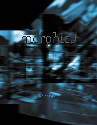## morphica

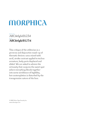### **MORPHICA**

#### REGULAR ABCdefghi01234 BOLD **ABCdefghi01234**

This critique of the utilitarian is a perverse and disjunctive mash-up of thematic devices: sans mixed with serif, stroke contrast applied to techno armature, body parts displaced and elided. We are asked to admire the virtuosity that conjures the sweet spot where everything blends together into some semblance of legibility, but contemplation is disturbed by the transgressive nature of the face.

© 2003 Shinn Type Foundry Inc. www.shinntype.com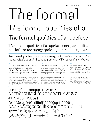# re Forma

The formal qualities of a

### The formal qualities of a typeface

The formal qualities of a typeface energize, facilitate and inform the typographic layout. Skilled typograp

The formal qualities of a typeface energize, facilitate and inform the typographic layout. Skilled typographers will leverage the attributes

 $\frac{12}{15}$ 

 $\frac{1}{14/15}$ The formal qualities of a typeface energize, facilitate and inform the typographic layout. Skilled typographers will lever-

The formal qualities of a typeface energize, facilitate and inform the typographic layout. Skilled typographers will leverage the attributes of carefully selected fonts to enhance the personality of the page, thereby standing out from the crowd. The

The formal qualities of a typeface energize, facilitate and inform the typographic layout. Skilled typographers will leverage the

The formal qualities of a typeface energize, facilitate and inform the typographic layout. Skilled typographers will leverage the attributes of judiciously chosen fonts to maximize the personality of the page, thereby standing out

The formal qualities of a typeface energize, facilitate and inform the typographic layout. Skilled typographers will leverage the attributes of judiciously

 $10/11$ 

The formal qualities of a typeface energize, facilitate and inform the typographic layout. Skilled typographers will leverage the attributes of judiciously chosen fonts to maximize the personality of the page, thereby standing out from the crowd. The formal qualities of

abcdefghijklmnopqrstuvwxyz ABCDEFGHIJKLMNOPORSTUVWXYZ #123456789062! a33333&céedeEfifliminºóoooooooOvou ÁÀÂÃÄÄÆÇÉÈÊËÎÌÎÏÑÓÒÔÕÖØŒÚÙÛÜ  $\P^*$  +  $\frac{1}{2}$   $\mathcal{S}$   $\mathbb{C}$   $\mathbb{C}$   $\mathbb{C}$   $\left(\frac{1}{2}$   $\cdots$   $\frac{1}{2}$   $\cdots$   $\frac{1}{2}$   $\frac{1}{2}$   $\cdots$   $\frac{1}{2}$